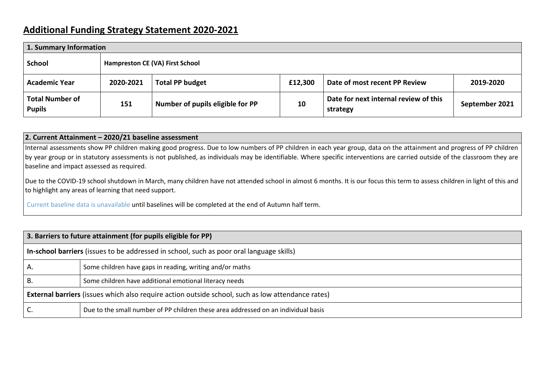## **Additional Funding Strategy Statement 2020-2021**

| 1. Summary Information                  |                                 |                                  |         |                                                   |                |
|-----------------------------------------|---------------------------------|----------------------------------|---------|---------------------------------------------------|----------------|
| School                                  | Hampreston CE (VA) First School |                                  |         |                                                   |                |
| <b>Academic Year</b>                    | 2020-2021                       | <b>Total PP budget</b>           | £12,300 | Date of most recent PP Review                     | 2019-2020      |
| <b>Total Number of</b><br><b>Pupils</b> | 151                             | Number of pupils eligible for PP | 10      | Date for next internal review of this<br>strategy | September 2021 |

#### **2. Current Attainment – 2020/21 baseline assessment**

Internal assessments show PP children making good progress. Due to low numbers of PP children in each year group, data on the attainment and progress of PP children by year group or in statutory assessments is not published, as individuals may be identifiable. Where specific interventions are carried outside of the classroom they are baseline and impact assessed as required.

Due to the COVID-19 school shutdown in March, many children have not attended school in almost 6 months. It is our focus this term to assess children in light of this and to highlight any areas of learning that need support.

Current baseline data is unavailable until baselines will be completed at the end of Autumn half term.

| 3. Barriers to future attainment (for pupils eligible for PP)                                            |                                                                                    |  |  |
|----------------------------------------------------------------------------------------------------------|------------------------------------------------------------------------------------|--|--|
| In-school barriers (issues to be addressed in school, such as poor oral language skills)                 |                                                                                    |  |  |
| A.                                                                                                       | Some children have gaps in reading, writing and/or maths                           |  |  |
| ŀΒ.                                                                                                      | Some children have additional emotional literacy needs                             |  |  |
| <b>External barriers</b> (issues which also require action outside school, such as low attendance rates) |                                                                                    |  |  |
| J.                                                                                                       | Due to the small number of PP children these area addressed on an individual basis |  |  |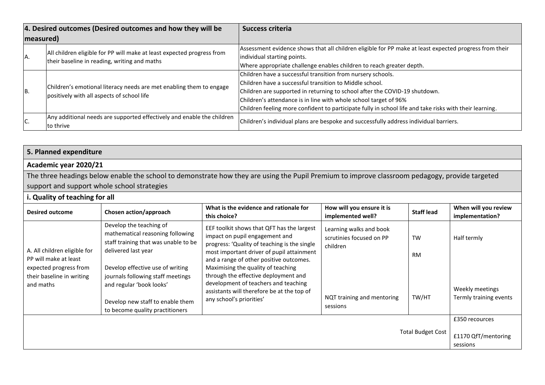| 4. Desired outcomes (Desired outcomes and how they will be |                                                                                                                   | <b>Success criteria</b>                                                                                 |  |
|------------------------------------------------------------|-------------------------------------------------------------------------------------------------------------------|---------------------------------------------------------------------------------------------------------|--|
| measured)                                                  |                                                                                                                   |                                                                                                         |  |
|                                                            | All children eligible for PP will make at least expected progress from                                            | Assessment evidence shows that all children eligible for PP make at least expected progress from their  |  |
| A.                                                         | their baseline in reading, writing and maths                                                                      | individual starting points.                                                                             |  |
|                                                            |                                                                                                                   | Where appropriate challenge enables children to reach greater depth.                                    |  |
| B.                                                         |                                                                                                                   | Children have a successful transition from nursery schools.                                             |  |
|                                                            | Children's emotional literacy needs are met enabling them to engage<br>positively with all aspects of school life | Children have a successful transition to Middle school.                                                 |  |
|                                                            |                                                                                                                   | Children are supported in returning to school after the COVID-19 shutdown.                              |  |
|                                                            |                                                                                                                   | Children's attendance is in line with whole school target of 96%                                        |  |
|                                                            |                                                                                                                   | Children feeling more confident to participate fully in school life and take risks with their learning. |  |
| C.                                                         | Any additional needs are supported effectively and enable the children                                            | Children's individual plans are bespoke and successfully address individual barriers.                   |  |
|                                                            | to thrive                                                                                                         |                                                                                                         |  |

# **5. Planned expenditure**

### **Academic year 2020/21**

The three headings below enable the school to demonstrate how they are using the Pupil Premium to improve classroom pedagogy, provide targeted support and support whole school strategies

### **i. Quality of teaching for all**

| <b>Desired outcome</b>                                                                                                    | Chosen action/approach                                                                                                                                                                                                                                                                                 | What is the evidence and rationale for<br>this choice?                                                                                                                                                                                                                                                                                                                                                               | How will you ensure it is<br>implemented well?                                                            | <b>Staff lead</b>               | When will you review<br>implementation?                  |
|---------------------------------------------------------------------------------------------------------------------------|--------------------------------------------------------------------------------------------------------------------------------------------------------------------------------------------------------------------------------------------------------------------------------------------------------|----------------------------------------------------------------------------------------------------------------------------------------------------------------------------------------------------------------------------------------------------------------------------------------------------------------------------------------------------------------------------------------------------------------------|-----------------------------------------------------------------------------------------------------------|---------------------------------|----------------------------------------------------------|
| A. All children eligible for<br>PP will make at least<br>expected progress from<br>their baseline in writing<br>and maths | Develop the teaching of<br>mathematical reasoning following<br>staff training that was unable to be<br>delivered last year<br>Develop effective use of writing<br>journals following staff meetings<br>and regular 'book looks'<br>Develop new staff to enable them<br>to become quality practitioners | EEF toolkit shows that QFT has the largest<br>impact on pupil engagement and<br>progress: 'Quality of teaching is the single<br>most important driver of pupil attainment<br>and a range of other positive outcomes.<br>Maximising the quality of teaching<br>through the effective deployment and<br>development of teachers and teaching<br>assistants will therefore be at the top of<br>any school's priorities' | Learning walks and book<br>scrutinies focused on PP<br>children<br>NQT training and mentoring<br>sessions | <b>TW</b><br><b>RM</b><br>TW/HT | Half termly<br>Weekly meetings<br>Termly training events |
|                                                                                                                           |                                                                                                                                                                                                                                                                                                        |                                                                                                                                                                                                                                                                                                                                                                                                                      |                                                                                                           | <b>Total Budget Cost</b>        | £350 recources<br>£1170 QfT/mentoring<br>sessions        |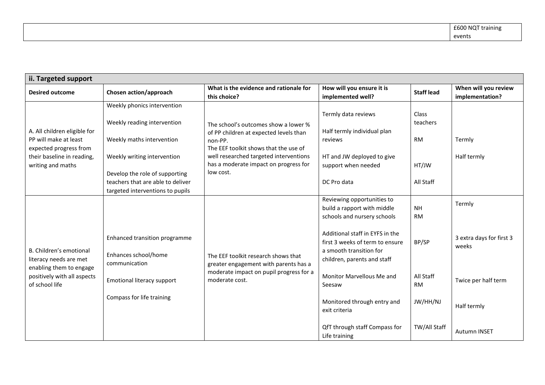| ii. Targeted support                                                                                                               |                                                                                                                                                                                                                                   |                                                                                                                                                                                                                                    |                                                                                                                                                                                                                                                                                                                                                                   |                                                                                       |                                                                                                          |
|------------------------------------------------------------------------------------------------------------------------------------|-----------------------------------------------------------------------------------------------------------------------------------------------------------------------------------------------------------------------------------|------------------------------------------------------------------------------------------------------------------------------------------------------------------------------------------------------------------------------------|-------------------------------------------------------------------------------------------------------------------------------------------------------------------------------------------------------------------------------------------------------------------------------------------------------------------------------------------------------------------|---------------------------------------------------------------------------------------|----------------------------------------------------------------------------------------------------------|
| <b>Desired outcome</b>                                                                                                             | Chosen action/approach                                                                                                                                                                                                            | What is the evidence and rationale for<br>this choice?                                                                                                                                                                             | How will you ensure it is<br>implemented well?                                                                                                                                                                                                                                                                                                                    | <b>Staff lead</b>                                                                     | When will you review<br>implementation?                                                                  |
| A. All children eligible for<br>PP will make at least<br>expected progress from<br>their baseline in reading,<br>writing and maths | Weekly phonics intervention<br>Weekly reading intervention<br>Weekly maths intervention<br>Weekly writing intervention<br>Develop the role of supporting<br>teachers that are able to deliver<br>targeted interventions to pupils | The school's outcomes show a lower %<br>of PP children at expected levels than<br>non-PP.<br>The EEF toolkit shows that the use of<br>well researched targeted interventions<br>has a moderate impact on progress for<br>low cost. | Termly data reviews<br>Half termly individual plan<br>reviews<br>HT and JW deployed to give<br>support when needed<br>DC Pro data                                                                                                                                                                                                                                 | Class<br>teachers<br><b>RM</b><br>HT/JW<br>All Staff                                  | Termly<br>Half termly                                                                                    |
| B. Children's emotional<br>literacy needs are met<br>enabling them to engage<br>positively with all aspects<br>of school life      | Enhanced transition programme<br>Enhances school/home<br>communication<br>Emotional literacy support<br>Compass for life training                                                                                                 | The EEF toolkit research shows that<br>greater engagement with parents has a<br>moderate impact on pupil progress for a<br>moderate cost.                                                                                          | Reviewing opportunities to<br>build a rapport with middle<br>schools and nursery schools<br>Additional staff in EYFS in the<br>first 3 weeks of term to ensure<br>a smooth transition for<br>children, parents and staff<br>Monitor Marvellous Me and<br>Seesaw<br>Monitored through entry and<br>exit criteria<br>QfT through staff Compass for<br>Life training | <b>NH</b><br><b>RM</b><br>BP/SP<br>All Staff<br><b>RM</b><br>JW/HH/NJ<br>TW/All Staff | Termly<br>3 extra days for first 3<br>weeks<br>Twice per half term<br>Half termly<br><b>Autumn INSET</b> |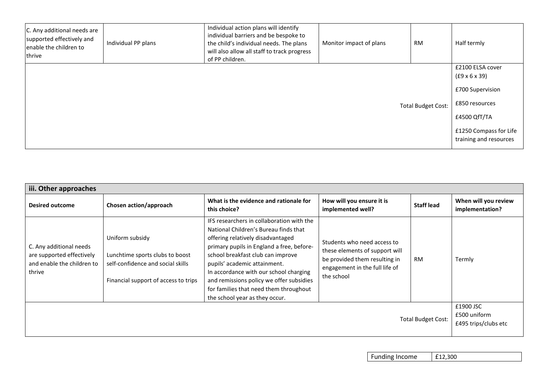| C. Any additional needs are<br>supported effectively and<br>enable the children to<br>thrive | Individual PP plans | Individual action plans will identify<br>individual barriers and be bespoke to<br>the child's individual needs. The plans<br>will also allow all staff to track progress<br>of PP children. | Monitor impact of plans | <b>RM</b>                 | Half termly                                                                                                                                 |
|----------------------------------------------------------------------------------------------|---------------------|---------------------------------------------------------------------------------------------------------------------------------------------------------------------------------------------|-------------------------|---------------------------|---------------------------------------------------------------------------------------------------------------------------------------------|
|                                                                                              |                     |                                                                                                                                                                                             |                         | <b>Total Budget Cost:</b> | £2100 ELSA cover<br>(£9 × 6 × 39)<br>£700 Supervision<br>£850 resources<br>£4500 QfT/TA<br>£1250 Compass for Life<br>training and resources |

| iii. Other approaches                                                                        |                                                                                                                                 |                                                                                                                                                                                                                                                                                                                                                                                                             |                                                                                                                                                |                   |                                         |
|----------------------------------------------------------------------------------------------|---------------------------------------------------------------------------------------------------------------------------------|-------------------------------------------------------------------------------------------------------------------------------------------------------------------------------------------------------------------------------------------------------------------------------------------------------------------------------------------------------------------------------------------------------------|------------------------------------------------------------------------------------------------------------------------------------------------|-------------------|-----------------------------------------|
| <b>Desired outcome</b>                                                                       | Chosen action/approach                                                                                                          | What is the evidence and rationale for<br>this choice?                                                                                                                                                                                                                                                                                                                                                      | How will you ensure it is<br>implemented well?                                                                                                 | <b>Staff lead</b> | When will you review<br>implementation? |
| C. Any additional needs<br>are supported effectively<br>and enable the children to<br>thrive | Uniform subsidy<br>Lunchtime sports clubs to boost<br>self-confidence and social skills<br>Financial support of access to trips | IFS researchers in collaboration with the<br>National Children's Bureau finds that<br>offering relatively disadvantaged<br>primary pupils in England a free, before-<br>school breakfast club can improve<br>pupils' academic attainment.<br>In accordance with our school charging<br>and remissions policy we offer subsidies<br>for families that need them throughout<br>the school year as they occur. | Students who need access to<br>these elements of support will<br>be provided them resulting in<br>engagement in the full life of<br>the school | <b>RM</b>         | Termly                                  |
| £1900 JSC<br>£500 uniform<br><b>Total Budget Cost:</b>                                       |                                                                                                                                 |                                                                                                                                                                                                                                                                                                                                                                                                             |                                                                                                                                                |                   | £495 trips/clubs etc                    |

Funding Income | £12,300